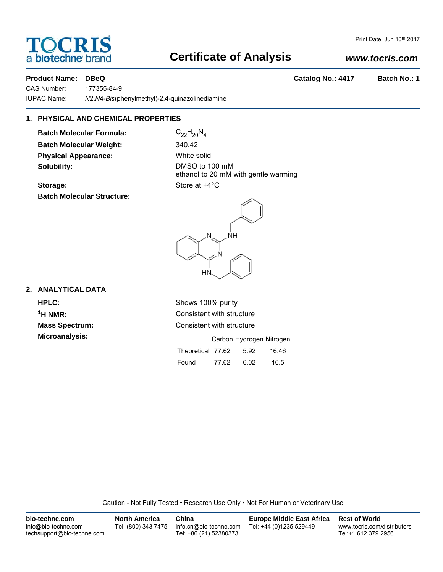# a **bio-techne** brand

### **Certificate of Analysis**

### *www.tocris.com*

**Product Name: DBeQ Catalog No.: 4417 Batch No.: 1**

CAS Number: 177355-84-9 IUPAC Name: *N*2,*N*4-*Bis*(phenylmethyl)-2,4-quinazolinediamine

#### **1. PHYSICAL AND CHEMICAL PROPERTIES**

**Batch Molecular Formula:** C<sub>22</sub>H<sub>20</sub>N<sub>4</sub> **Batch Molecular Weight:** 340.42 **Physical Appearance:** White solid **Solubility:** DMSO to 100 mM

ethanol to 20 mM with gentle warming **Storage:** Store at  $+4^{\circ}$ C

## **Batch Molecular Structure:**



#### **2. ANALYTICAL DATA**

**HPLC:** Shows 100% purity

**1H NMR:** Consistent with structure **Mass Spectrum:** Consistent with structure

| <b>Microanalysis:</b> |                        |       | Carbon Hydrogen Nitrogen |       |
|-----------------------|------------------------|-------|--------------------------|-------|
|                       | Theoretical 77.62 5.92 |       |                          | 16.46 |
|                       | Found                  | 77.62 | 6.02                     | 16.5  |

Caution - Not Fully Tested • Research Use Only • Not For Human or Veterinary Use

| bio-techne.com                                    | <b>North America</b> | China                                            | Europe Middle East Africa | <b>Rest of World</b>                               |
|---------------------------------------------------|----------------------|--------------------------------------------------|---------------------------|----------------------------------------------------|
| info@bio-techne.com<br>techsupport@bio-techne.com | Tel: (800) 343 7475  | info.cn@bio-techne.com<br>Tel: +86 (21) 52380373 | Tel: +44 (0)1235 529449   | www.tocris.com/distributors<br>Tel:+1 612 379 2956 |